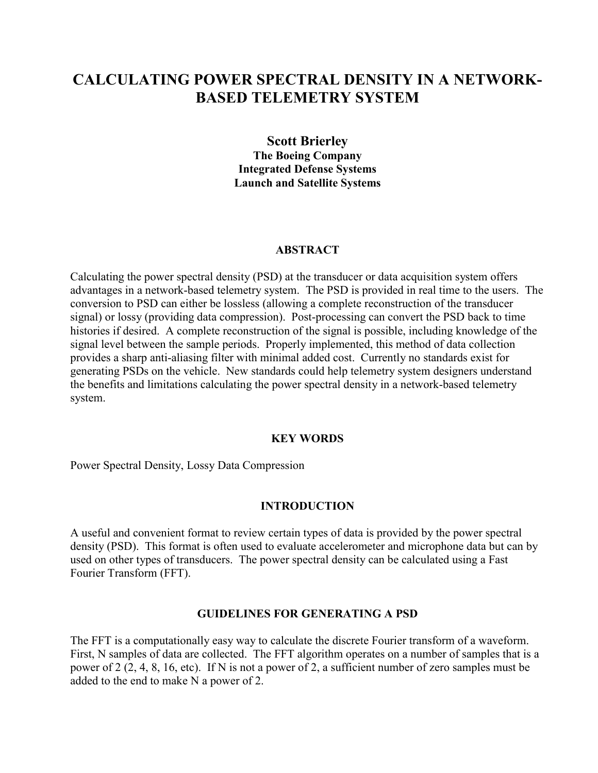# **CALCULATING POWER SPECTRAL DENSITY IN A NETWORK-BASED TELEMETRY SYSTEM**

**Scott Brierley The Boeing Company Integrated Defense Systems Launch and Satellite Systems** 

#### **ABSTRACT**

Calculating the power spectral density (PSD) at the transducer or data acquisition system offers advantages in a network-based telemetry system. The PSD is provided in real time to the users. The conversion to PSD can either be lossless (allowing a complete reconstruction of the transducer signal) or lossy (providing data compression). Post-processing can convert the PSD back to time histories if desired. A complete reconstruction of the signal is possible, including knowledge of the signal level between the sample periods. Properly implemented, this method of data collection provides a sharp anti-aliasing filter with minimal added cost. Currently no standards exist for generating PSDs on the vehicle. New standards could help telemetry system designers understand the benefits and limitations calculating the power spectral density in a network-based telemetry system.

#### **KEY WORDS**

Power Spectral Density, Lossy Data Compression

#### **INTRODUCTION**

A useful and convenient format to review certain types of data is provided by the power spectral density (PSD). This format is often used to evaluate accelerometer and microphone data but can by used on other types of transducers. The power spectral density can be calculated using a Fast Fourier Transform (FFT).

### **GUIDELINES FOR GENERATING A PSD**

The FFT is a computationally easy way to calculate the discrete Fourier transform of a waveform. First, N samples of data are collected. The FFT algorithm operates on a number of samples that is a power of 2 (2, 4, 8, 16, etc). If N is not a power of 2, a sufficient number of zero samples must be added to the end to make N a power of 2.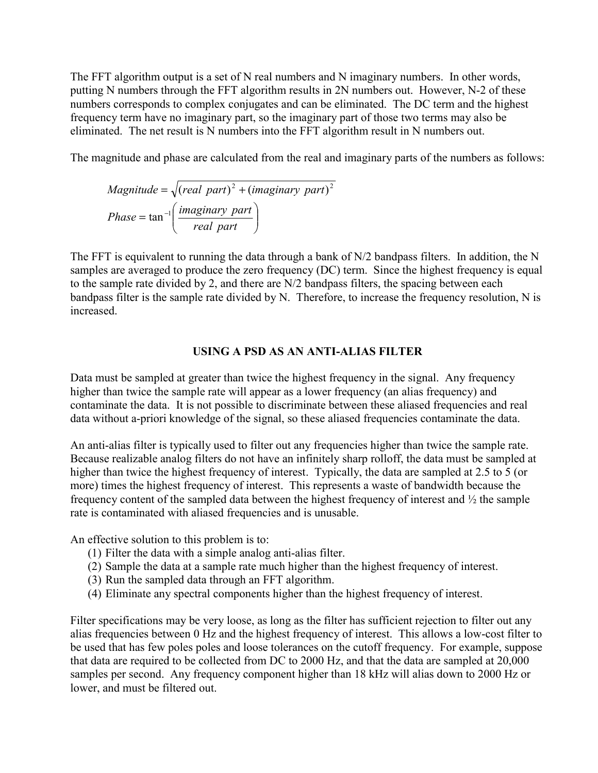The FFT algorithm output is a set of N real numbers and N imaginary numbers. In other words, putting N numbers through the FFT algorithm results in 2N numbers out. However, N-2 of these numbers corresponds to complex conjugates and can be eliminated. The DC term and the highest frequency term have no imaginary part, so the imaginary part of those two terms may also be eliminated. The net result is N numbers into the FFT algorithm result in N numbers out.

The magnitude and phase are calculated from the real and imaginary parts of the numbers as follows:

*Magnitude* = 
$$
\sqrt{(real part)^2 + (imaginary part)^2}
$$
  
*Phase* = tan<sup>-1</sup> $\left(\frac{imaginary part}{real part}\right)$ 

The FFT is equivalent to running the data through a bank of  $N/2$  bandpass filters. In addition, the N samples are averaged to produce the zero frequency (DC) term. Since the highest frequency is equal to the sample rate divided by 2, and there are N/2 bandpass filters, the spacing between each bandpass filter is the sample rate divided by N. Therefore, to increase the frequency resolution, N is increased.

## **USING A PSD AS AN ANTI-ALIAS FILTER**

Data must be sampled at greater than twice the highest frequency in the signal. Any frequency higher than twice the sample rate will appear as a lower frequency (an alias frequency) and contaminate the data. It is not possible to discriminate between these aliased frequencies and real data without a-priori knowledge of the signal, so these aliased frequencies contaminate the data.

An anti-alias filter is typically used to filter out any frequencies higher than twice the sample rate. Because realizable analog filters do not have an infinitely sharp rolloff, the data must be sampled at higher than twice the highest frequency of interest. Typically, the data are sampled at 2.5 to 5 (or more) times the highest frequency of interest. This represents a waste of bandwidth because the frequency content of the sampled data between the highest frequency of interest and ½ the sample rate is contaminated with aliased frequencies and is unusable.

An effective solution to this problem is to:

- (1) Filter the data with a simple analog anti-alias filter.
- (2) Sample the data at a sample rate much higher than the highest frequency of interest.
- (3) Run the sampled data through an FFT algorithm.
- (4) Eliminate any spectral components higher than the highest frequency of interest.

Filter specifications may be very loose, as long as the filter has sufficient rejection to filter out any alias frequencies between 0 Hz and the highest frequency of interest. This allows a low-cost filter to be used that has few poles poles and loose tolerances on the cutoff frequency. For example, suppose that data are required to be collected from DC to 2000 Hz, and that the data are sampled at 20,000 samples per second. Any frequency component higher than 18 kHz will alias down to 2000 Hz or lower, and must be filtered out.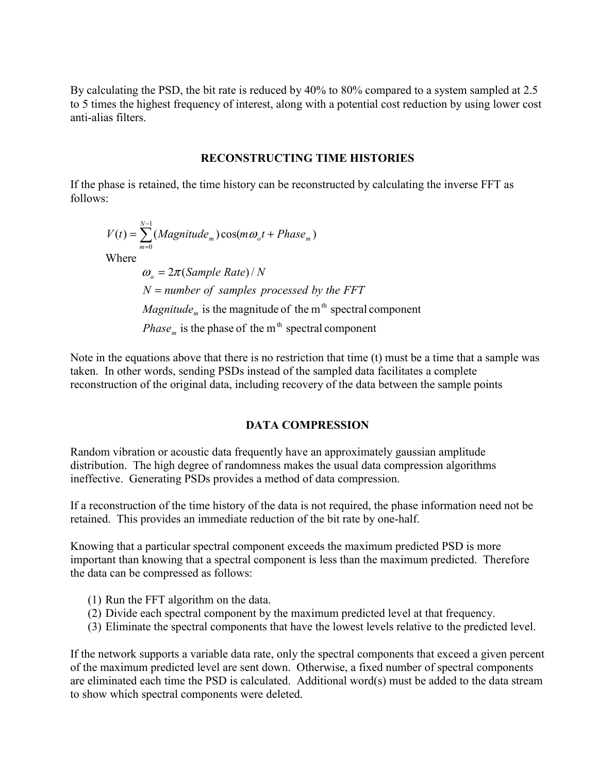By calculating the PSD, the bit rate is reduced by 40% to 80% compared to a system sampled at 2.5 to 5 times the highest frequency of interest, along with a potential cost reduction by using lower cost anti-alias filters.

### **RECONSTRUCTING TIME HISTORIES**

If the phase is retained, the time history can be reconstructed by calculating the inverse FFT as follows:

 $(t) = \sum (Magnitude_m) \cos(m\omega_c t + Phase_m)$ 1 0  $\sigma_0$ *i*  $\tau$  *i muse*<sub>*m*</sub> *N*  $V(t) = \sum_{m=0}^{N-1} (Magnitude_m) \cos(m\omega_o t + Phase)$ = ω Where is the phase of the  $m<sup>th</sup>$  spectral component is the magnitude of the  $m<sup>th</sup>$  spectral component  $\omega_{o} = 2\pi (Sample Rate) / N$ *m Phase m Magnitude N number of samples processed by the FFT* =

Note in the equations above that there is no restriction that time (t) must be a time that a sample was taken. In other words, sending PSDs instead of the sampled data facilitates a complete reconstruction of the original data, including recovery of the data between the sample points

### **DATA COMPRESSION**

Random vibration or acoustic data frequently have an approximately gaussian amplitude distribution. The high degree of randomness makes the usual data compression algorithms ineffective. Generating PSDs provides a method of data compression.

If a reconstruction of the time history of the data is not required, the phase information need not be retained. This provides an immediate reduction of the bit rate by one-half.

Knowing that a particular spectral component exceeds the maximum predicted PSD is more important than knowing that a spectral component is less than the maximum predicted. Therefore the data can be compressed as follows:

- (1) Run the FFT algorithm on the data.
- (2) Divide each spectral component by the maximum predicted level at that frequency.
- (3) Eliminate the spectral components that have the lowest levels relative to the predicted level.

If the network supports a variable data rate, only the spectral components that exceed a given percent of the maximum predicted level are sent down. Otherwise, a fixed number of spectral components are eliminated each time the PSD is calculated. Additional word(s) must be added to the data stream to show which spectral components were deleted.